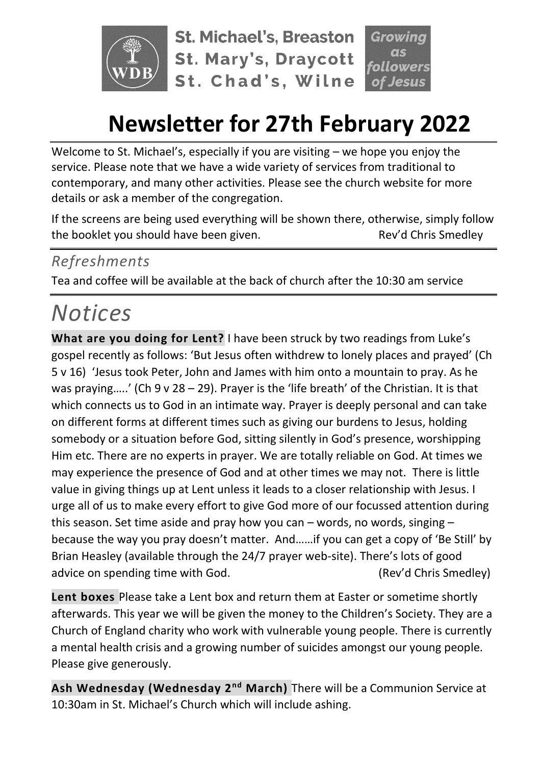

**St. Michael's, Breaston St. Mary's, Draycott** St. Chad's, Wilne

## **Newsletter for 27th February 2022**

Welcome to St. Michael's, especially if you are visiting – we hope you enjoy the service. Please note that we have a wide variety of services from traditional to contemporary, and many other activities. Please see the church website for more details or ask a member of the congregation.

If the screens are being used everything will be shown there, otherwise, simply follow the booklet you should have been given. The state of the sev'd Chris Smedley

### *Refreshments*

Tea and coffee will be available at the back of church after the 10:30 am service

# *Notices*

**What are you doing for Lent?** I have been struck by two readings from Luke's gospel recently as follows: 'But Jesus often withdrew to lonely places and prayed' (Ch 5 v 16) 'Jesus took Peter, John and James with him onto a mountain to pray. As he was praying.....' (Ch  $9 \vee 28 - 29$ ). Prayer is the 'life breath' of the Christian. It is that which connects us to God in an intimate way. Prayer is deeply personal and can take on different forms at different times such as giving our burdens to Jesus, holding somebody or a situation before God, sitting silently in God's presence, worshipping Him etc. There are no experts in prayer. We are totally reliable on God. At times we may experience the presence of God and at other times we may not. There is little value in giving things up at Lent unless it leads to a closer relationship with Jesus. I urge all of us to make every effort to give God more of our focussed attention during this season. Set time aside and pray how you can – words, no words, singing – because the way you pray doesn't matter. And……if you can get a copy of 'Be Still' by Brian Heasley (available through the 24/7 prayer web-site). There's lots of good advice on spending time with God. (Rev'd Chris Smedley)

**Lent boxes** Please take a Lent box and return them at Easter or sometime shortly afterwards. This year we will be given the money to the Children's Society. They are a Church of England charity who work with vulnerable young people. There is currently a mental health crisis and a growing number of suicides amongst our young people. Please give generously.

**Ash Wednesday (Wednesday 2nd March)** There will be a Communion Service at 10:30am in St. Michael's Church which will include ashing.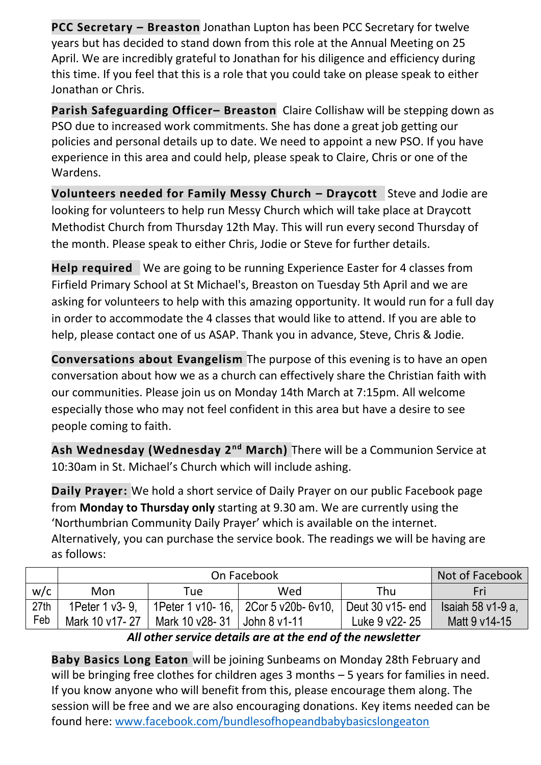**PCC Secretary – Breaston** Jonathan Lupton has been PCC Secretary for twelve years but has decided to stand down from this role at the Annual Meeting on 25 April. We are incredibly grateful to Jonathan for his diligence and efficiency during this time. If you feel that this is a role that you could take on please speak to either Jonathan or Chris.

**Parish Safeguarding Officer– Breaston** Claire Collishaw will be stepping down as PSO due to increased work commitments. She has done a great job getting our policies and personal details up to date. We need to appoint a new PSO. If you have experience in this area and could help, please speak to Claire, Chris or one of the Wardens.

**Volunteers needed for Family Messy Church – Draycott** Steve and Jodie are looking for volunteers to help run Messy Church which will take place at Draycott Methodist Church from Thursday 12th May. This will run every second Thursday of the month. Please speak to either Chris, Jodie or Steve for further details.

**Help required** We are going to be running Experience Easter for 4 classes from Firfield Primary School at St Michael's, Breaston on Tuesday 5th April and we are asking for volunteers to help with this amazing opportunity. It would run for a full day in order to accommodate the 4 classes that would like to attend. If you are able to help, please contact one of us ASAP. Thank you in advance, Steve, Chris & Jodie.

**Conversations about Evangelism** The purpose of this evening is to have an open conversation about how we as a church can effectively share the Christian faith with our communities. Please join us on Monday 14th March at 7:15pm. All welcome especially those who may not feel confident in this area but have a desire to see people coming to faith.

**Ash Wednesday (Wednesday 2nd March)** There will be a Communion Service at 10:30am in St. Michael's Church which will include ashing.

**Daily Prayer:** We hold a short service of Daily Prayer on our public Facebook page from **Monday to Thursday only** starting at 9.30 am. We are currently using the 'Northumbrian Community Daily Prayer' which is available on the internet. Alternatively, you can purchase the service book. The readings we will be having are as follows:

|      |                    | Not of Facebook |                                              |                    |                   |
|------|--------------------|-----------------|----------------------------------------------|--------------------|-------------------|
| w/c  | Mon                | Tuel            | Wed                                          | Thu                | Fri               |
| 27th | 1 Peter 1 v 3 - 9. |                 | 1 Peter 1 v 10 - 16, 2Cor 5 v 20 b - 6 v 10, | Deut $30$ v15- end | Isaiah 58 v1-9 a, |
| Feb  | Mark 10 v17-27     | Mark 10 v28- 31 | $\vert$ John 8 v1-11                         | Luke 9 v22-25      | Matt 9 v14-15     |

*All other service details are at the end of the newsletter*

**Baby Basics Long Eaton** will be joining Sunbeams on Monday 28th February and will be bringing free clothes for children ages 3 months – 5 years for families in need. If you know anyone who will benefit from this, please encourage them along. The session will be free and we are also encouraging donations. Key items needed can be found here: [www.facebook.com/bundlesofhopeandbabybasicslongeaton](http://www.facebook.com/bundlesofhopeandbabybasicslongeaton)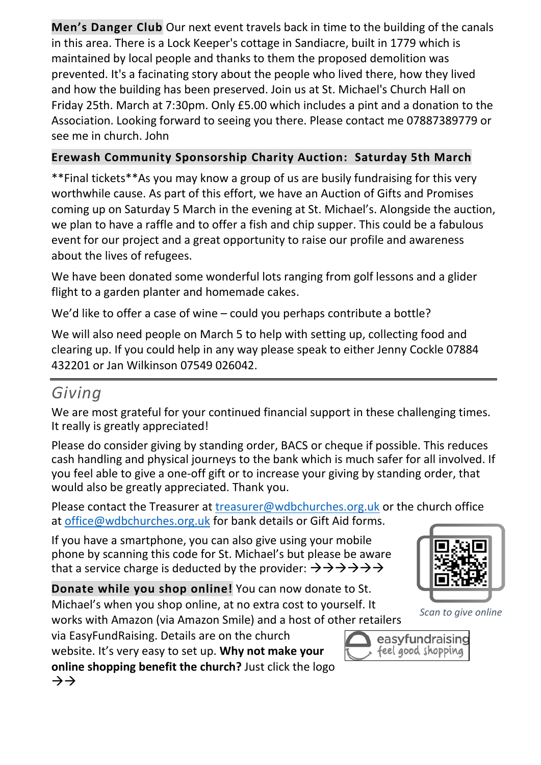**Men's Danger Club** Our next event travels back in time to the building of the canals in this area. There is a Lock Keeper's cottage in Sandiacre, built in 1779 which is maintained by local people and thanks to them the proposed demolition was prevented. It's a facinating story about the people who lived there, how they lived and how the building has been preserved. Join us at St. Michael's Church Hall on Friday 25th. March at 7:30pm. Only £5.00 which includes a pint and a donation to the Association. Looking forward to seeing you there. Please contact me 07887389779 or see me in church. John

#### **Erewash Community Sponsorship Charity Auction: Saturday 5th March**

\*\*Final tickets\*\*As you may know a group of us are busily fundraising for this very worthwhile cause. As part of this effort, we have an Auction of Gifts and Promises coming up on Saturday 5 March in the evening at St. Michael's. Alongside the auction, we plan to have a raffle and to offer a fish and chip supper. This could be a fabulous event for our project and a great opportunity to raise our profile and awareness about the lives of refugees.

We have been donated some wonderful lots ranging from golf lessons and a glider flight to a garden planter and homemade cakes.

We'd like to offer a case of wine – could you perhaps contribute a bottle?

We will also need people on March 5 to help with setting up, collecting food and clearing up. If you could help in any way please speak to either Jenny Cockle 07884 432201 or Jan Wilkinson 07549 026042.

## *Giving*

We are most grateful for your continued financial support in these challenging times. It really is greatly appreciated!

Please do consider giving by standing order, BACS or cheque if possible. This reduces cash handling and physical journeys to the bank which is much safer for all involved. If you feel able to give a one-off gift or to increase your giving by standing order, that would also be greatly appreciated. Thank you.

Please contact the Treasurer at [treasurer@wdbchurches.org.uk](mailto:treasurer@wdbchurches.org.uk) or the church office at [office@wdbchurches.org.uk](mailto:office@wdbchurches.org.uk) for bank details or Gift Aid forms.

If you have a smartphone, you can also give using your mobile phone by scanning this code for St. Michael's but please be aware that a service charge is deducted by the provider:  $\rightarrow \rightarrow \rightarrow \rightarrow \rightarrow \rightarrow$ 

**Donate while you shop online!** You can now donate to St. Michael's when you shop online, at no extra cost to yourself. It works with Amazon (via Amazon Smile) and a host of other retailers

via EasyFundRaising. Details are on the [church](http://www.stmichaelsbreaston.org.uk/index.php/113-news/236-giving-online) 

[website](http://www.stmichaelsbreaston.org.uk/index.php/113-news/236-giving-online). It's very easy to set up. **Why not make your online shopping benefit the church?** Just click the logo →→



*Scan to give online*